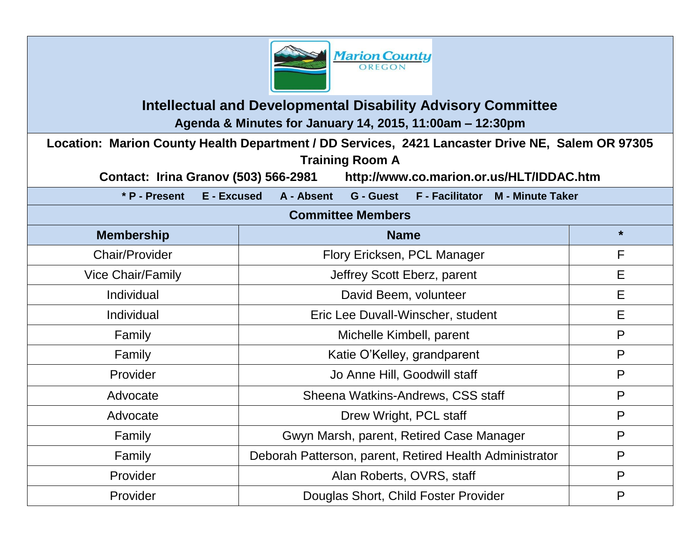

## **Intellectual and Developmental Disability Advisory Committee Agenda & Minutes for January 14, 2015, 11:00am – 12:30pm**

**Location: Marion County Health Department / DD Services, 2421 Lancaster Drive NE, Salem OR 97305 Training Room A** 

**Contact: Irina Granov (503) 566-2981 http://www.co.marion.or.us/HLT/IDDAC.htm**

| * P - Present<br>E - Excused | A - Absent<br>G - Guest F - Facilitator M - Minute Taker |         |  |
|------------------------------|----------------------------------------------------------|---------|--|
| <b>Committee Members</b>     |                                                          |         |  |
| <b>Membership</b>            | <b>Name</b>                                              | $\star$ |  |
| <b>Chair/Provider</b>        | Flory Ericksen, PCL Manager                              | F       |  |
| <b>Vice Chair/Family</b>     | Jeffrey Scott Eberz, parent                              | E       |  |
| Individual                   | David Beem, volunteer                                    | E       |  |
| Individual                   | Eric Lee Duvall-Winscher, student                        | E       |  |
| Family                       | Michelle Kimbell, parent                                 | P       |  |
| Family                       | Katie O'Kelley, grandparent                              | P       |  |
| Provider                     | Jo Anne Hill, Goodwill staff                             | P       |  |
| Advocate                     | Sheena Watkins-Andrews, CSS staff                        | P       |  |
| Advocate                     | Drew Wright, PCL staff                                   | P       |  |
| Family                       | Gwyn Marsh, parent, Retired Case Manager                 | P       |  |
| Family                       | Deborah Patterson, parent, Retired Health Administrator  | P       |  |
| Provider                     | Alan Roberts, OVRS, staff                                | P       |  |
| Provider                     | Douglas Short, Child Foster Provider                     | P       |  |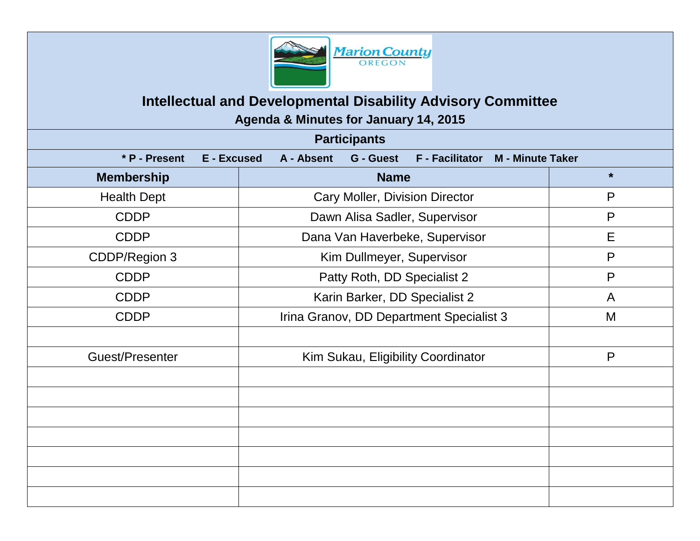

# **Intellectual and Developmental Disability Advisory Committee**

**Agenda & Minutes for January 14, 2015**

| <b>Participants</b> |                                                                                             |              |  |
|---------------------|---------------------------------------------------------------------------------------------|--------------|--|
| * P - Present       | E - Excused<br>A - Absent<br>G - Guest<br><b>F</b> - Facilitator<br><b>M</b> - Minute Taker |              |  |
| <b>Membership</b>   | <b>Name</b>                                                                                 | $\star$      |  |
| <b>Health Dept</b>  | Cary Moller, Division Director                                                              | P            |  |
| <b>CDDP</b>         | Dawn Alisa Sadler, Supervisor                                                               | P            |  |
| <b>CDDP</b>         | Dana Van Haverbeke, Supervisor                                                              | E            |  |
| CDDP/Region 3       | Kim Dullmeyer, Supervisor                                                                   | $\mathsf{P}$ |  |
| <b>CDDP</b>         | Patty Roth, DD Specialist 2                                                                 | $\mathsf{P}$ |  |
| <b>CDDP</b>         | Karin Barker, DD Specialist 2                                                               | A            |  |
| <b>CDDP</b>         | Irina Granov, DD Department Specialist 3                                                    | M            |  |
|                     |                                                                                             |              |  |
| Guest/Presenter     | Kim Sukau, Eligibility Coordinator                                                          | $\mathsf{P}$ |  |
|                     |                                                                                             |              |  |
|                     |                                                                                             |              |  |
|                     |                                                                                             |              |  |
|                     |                                                                                             |              |  |
|                     |                                                                                             |              |  |
|                     |                                                                                             |              |  |
|                     |                                                                                             |              |  |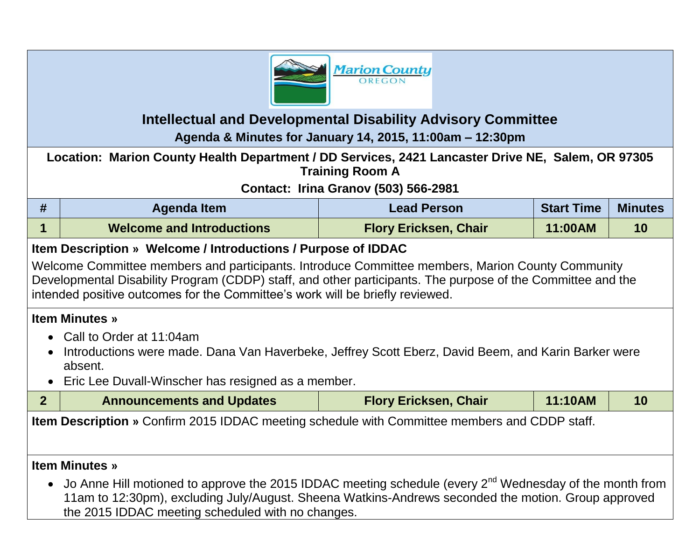

# **Intellectual and Developmental Disability Advisory Committee**

**Agenda & Minutes for January 14, 2015, 11:00am – 12:30pm**

| Location: Marion County Health Department / DD Services, 2421 Lancaster Drive NE, Salem, OR 97305<br><b>Training Room A</b>                                                                                                                                                                                                                                       |                                                                                                                                                                                                                                                                                                          |                                             |                   |                |  |
|-------------------------------------------------------------------------------------------------------------------------------------------------------------------------------------------------------------------------------------------------------------------------------------------------------------------------------------------------------------------|----------------------------------------------------------------------------------------------------------------------------------------------------------------------------------------------------------------------------------------------------------------------------------------------------------|---------------------------------------------|-------------------|----------------|--|
|                                                                                                                                                                                                                                                                                                                                                                   |                                                                                                                                                                                                                                                                                                          | <b>Contact: Irina Granov (503) 566-2981</b> |                   |                |  |
| #                                                                                                                                                                                                                                                                                                                                                                 | <b>Agenda Item</b>                                                                                                                                                                                                                                                                                       | <b>Lead Person</b>                          | <b>Start Time</b> | <b>Minutes</b> |  |
| 1                                                                                                                                                                                                                                                                                                                                                                 | <b>Welcome and Introductions</b>                                                                                                                                                                                                                                                                         | <b>Flory Ericksen, Chair</b>                | 11:00AM           | 10             |  |
| Item Description » Welcome / Introductions / Purpose of IDDAC<br>Welcome Committee members and participants. Introduce Committee members, Marion County Community<br>Developmental Disability Program (CDDP) staff, and other participants. The purpose of the Committee and the<br>intended positive outcomes for the Committee's work will be briefly reviewed. |                                                                                                                                                                                                                                                                                                          |                                             |                   |                |  |
| <b>Item Minutes »</b><br>Call to Order at 11:04am<br>$\bullet$<br>Introductions were made. Dana Van Haverbeke, Jeffrey Scott Eberz, David Beem, and Karin Barker were<br>absent.<br>Eric Lee Duvall-Winscher has resigned as a member.<br>$\bullet$                                                                                                               |                                                                                                                                                                                                                                                                                                          |                                             |                   |                |  |
| 2 <sup>1</sup>                                                                                                                                                                                                                                                                                                                                                    | <b>Announcements and Updates</b>                                                                                                                                                                                                                                                                         | <b>Flory Ericksen, Chair</b>                | 11:10AM           | 10             |  |
| <b>Item Description</b> » Confirm 2015 IDDAC meeting schedule with Committee members and CDDP staff.                                                                                                                                                                                                                                                              |                                                                                                                                                                                                                                                                                                          |                                             |                   |                |  |
| $\bullet$                                                                                                                                                                                                                                                                                                                                                         | <b>Item Minutes »</b><br>Jo Anne Hill motioned to approve the 2015 IDDAC meeting schedule (every 2 <sup>nd</sup> Wednesday of the month from<br>11am to 12:30pm), excluding July/August. Sheena Watkins-Andrews seconded the motion. Group approved<br>the 2015 IDDAC meeting scheduled with no changes. |                                             |                   |                |  |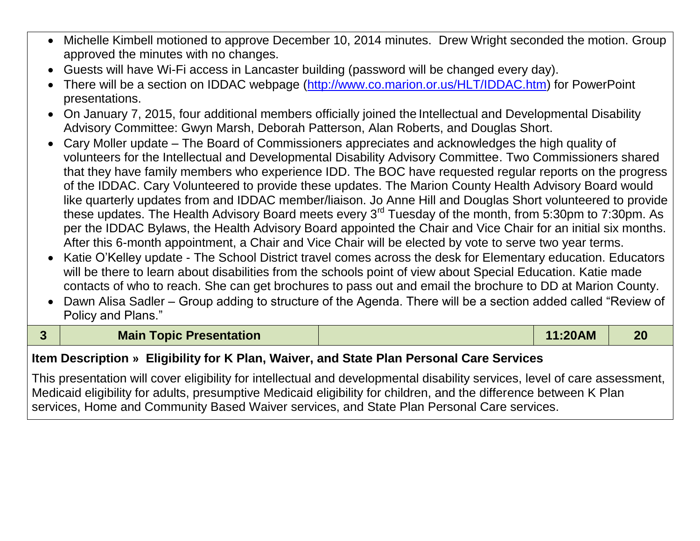- Michelle Kimbell motioned to approve December 10, 2014 minutes. Drew Wright seconded the motion. Group approved the minutes with no changes.
- Guests will have Wi-Fi access in Lancaster building (password will be changed every day).
- There will be a section on IDDAC webpage [\(http://www.co.marion.or.us/HLT/IDDAC.htm\)](http://www.co.marion.or.us/HLT/IDDAC.htm) for PowerPoint presentations.
- On January 7, 2015, four additional members officially joined the Intellectual and Developmental Disability Advisory Committee: Gwyn Marsh, Deborah Patterson, Alan Roberts, and Douglas Short.
- Cary Moller update The Board of Commissioners appreciates and acknowledges the high quality of volunteers for the Intellectual and Developmental Disability Advisory Committee. Two Commissioners shared that they have family members who experience IDD. The BOC have requested regular reports on the progress of the IDDAC. Cary Volunteered to provide these updates. The Marion County Health Advisory Board would like quarterly updates from and IDDAC member/liaison. Jo Anne Hill and Douglas Short volunteered to provide these updates. The Health Advisory Board meets every 3<sup>rd</sup> Tuesday of the month, from 5:30pm to 7:30pm. As per the IDDAC Bylaws, the Health Advisory Board appointed the Chair and Vice Chair for an initial six months. After this 6-month appointment, a Chair and Vice Chair will be elected by vote to serve two year terms.
- Katie O'Kelley update The School District travel comes across the desk for Elementary education. Educators will be there to learn about disabilities from the schools point of view about Special Education. Katie made contacts of who to reach. She can get brochures to pass out and email the brochure to DD at Marion County.
- Dawn Alisa Sadler Group adding to structure of the Agenda. There will be a section added called "Review of Policy and Plans."

| <b>Main Topic Presentation</b> | 11:20AM | 20 |
|--------------------------------|---------|----|
|                                |         |    |

### **Item Description » Eligibility for K Plan, Waiver, and State Plan Personal Care Services**

This presentation will cover eligibility for intellectual and developmental disability services, level of care assessment, Medicaid eligibility for adults, presumptive Medicaid eligibility for children, and the difference between K Plan services, Home and Community Based Waiver services, and State Plan Personal Care services.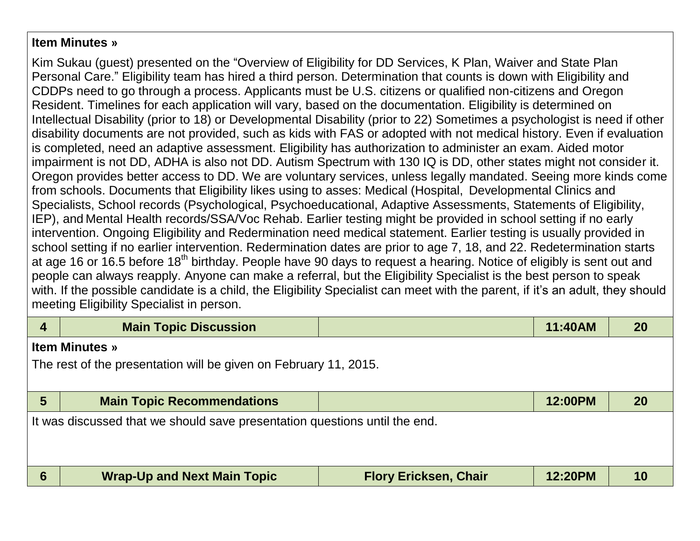#### **Item Minutes »**

Kim Sukau (guest) presented on the "Overview of Eligibility for DD Services, K Plan, Waiver and State Plan Personal Care." Eligibility team has hired a third person. Determination that counts is down with Eligibility and CDDPs need to go through a process. Applicants must be U.S. citizens or qualified non-citizens and Oregon Resident. Timelines for each application will vary, based on the documentation. Eligibility is determined on Intellectual Disability (prior to 18) or Developmental Disability (prior to 22) Sometimes a psychologist is need if other disability documents are not provided, such as kids with FAS or adopted with not medical history. Even if evaluation is completed, need an adaptive assessment. Eligibility has authorization to administer an exam. Aided motor impairment is not DD, ADHA is also not DD. Autism Spectrum with 130 IQ is DD, other states might not consider it. Oregon provides better access to DD. We are voluntary services, unless legally mandated. Seeing more kinds come from schools. Documents that Eligibility likes using to asses: Medical (Hospital, Developmental Clinics and Specialists, School records (Psychological, Psychoeducational, Adaptive Assessments, Statements of Eligibility, IEP), and Mental Health records/SSA/Voc Rehab. Earlier testing might be provided in school setting if no early intervention. Ongoing Eligibility and Redermination need medical statement. Earlier testing is usually provided in school setting if no earlier intervention. Redermination dates are prior to age 7, 18, and 22. Redetermination starts at age 16 or 16.5 before 18<sup>th</sup> birthday. People have 90 days to request a hearing. Notice of eligibly is sent out and people can always reapply. Anyone can make a referral, but the Eligibility Specialist is the best person to speak with. If the possible candidate is a child, the Eligibility Specialist can meet with the parent, if it's an adult, they should meeting Eligibility Specialist in person.

| $\overline{4}$                                                             | <b>Main Topic Discussion</b>                                     |                              | 11:40AM | 20        |  |
|----------------------------------------------------------------------------|------------------------------------------------------------------|------------------------------|---------|-----------|--|
|                                                                            | <b>Item Minutes</b> »                                            |                              |         |           |  |
|                                                                            | The rest of the presentation will be given on February 11, 2015. |                              |         |           |  |
|                                                                            |                                                                  |                              |         |           |  |
| $5\phantom{.0}$                                                            | <b>Main Topic Recommendations</b>                                |                              | 12:00PM | <b>20</b> |  |
| It was discussed that we should save presentation questions until the end. |                                                                  |                              |         |           |  |
|                                                                            |                                                                  |                              |         |           |  |
|                                                                            |                                                                  |                              |         |           |  |
| $6\phantom{1}6$                                                            | <b>Wrap-Up and Next Main Topic</b>                               | <b>Flory Ericksen, Chair</b> | 12:20PM | 10        |  |